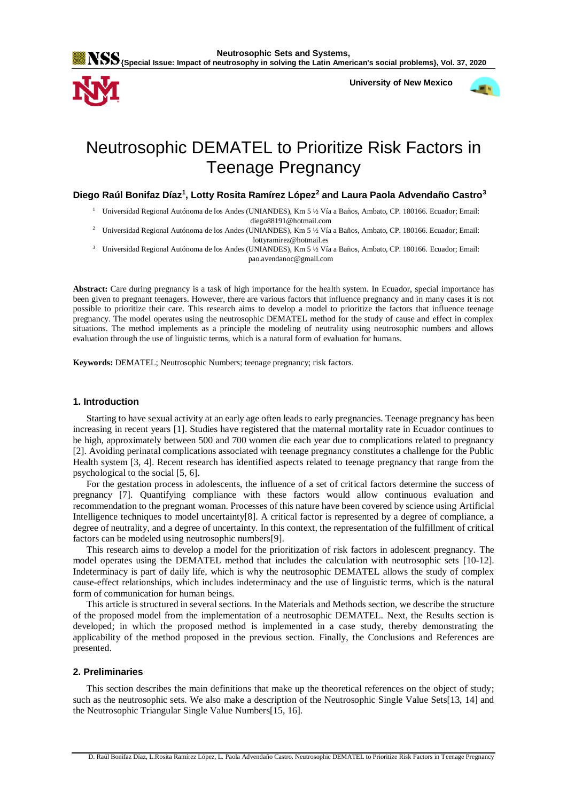



 **University of New Mexico**



# Neutrosophic DEMATEL to Prioritize Risk Factors in Teenage Pregnancy

**Diego Raúl Bonifaz Díaz<sup>1</sup> , Lotty Rosita Ramírez López<sup>2</sup> and Laura Paola Advendaño Castro<sup>3</sup>**

<sup>1</sup> Universidad Regional Autónoma de los Andes (UNIANDES), Km 5 ½ Vía a Baños, Ambato, CP. 180166. Ecuador; Email: diego88191@hotmail.com

<sup>2</sup> Universidad Regional Autónoma de los Andes (UNIANDES), Km 5 ½ Vía a Baños, Ambato, CP. 180166. Ecuador; Email: lottyramirez@hotmail.es

<sup>3</sup> Universidad Regional Autónoma de los Andes (UNIANDES), Km 5 ½ Vía a Baños, Ambato, CP. 180166. Ecuador; Email: pao.avendanoc@gmail.com

**Abstract:** Care during pregnancy is a task of high importance for the health system. In Ecuador, special importance has been given to pregnant teenagers. However, there are various factors that influence pregnancy and in many cases it is not possible to prioritize their care. This research aims to develop a model to prioritize the factors that influence teenage pregnancy. The model operates using the neutrosophic DEMATEL method for the study of cause and effect in complex situations. The method implements as a principle the modeling of neutrality using neutrosophic numbers and allows evaluation through the use of linguistic terms, which is a natural form of evaluation for humans.

**Keywords:** DEMATEL; Neutrosophic Numbers; teenage pregnancy; risk factors.

## **1. Introduction**

Starting to have sexual activity at an early age often leads to early pregnancies. Teenage pregnancy has been increasing in recent years [\[1\]](#page-5-0). Studies have registered that the maternal mortality rate in Ecuador continues to be high, approximately between 500 and 700 women die each year due to complications related to pregnancy [\[2\]](#page-5-1). Avoiding perinatal complications associated with teenage pregnancy constitutes a challenge for the Public Health system [\[3,](#page-5-2) [4\]](#page-5-3). Recent research has identified aspects related to teenage pregnancy that range from the psychological to the social [\[5,](#page-5-4) [6\]](#page-5-5).

For the gestation process in adolescents, the influence of a set of critical factors determine the success of pregnancy [\[7\]](#page-5-6). Quantifying compliance with these factors would allow continuous evaluation and recommendation to the pregnant woman. Processes of this nature have been covered by science using Artificial Intelligence techniques to model uncertainty[\[8\]](#page-5-7). A critical factor is represented by a degree of compliance, a degree of neutrality, and a degree of uncertainty. In this context, the representation of the fulfillment of critical factors can be modeled using neutrosophic numbers[\[9\]](#page-5-8).

This research aims to develop a model for the prioritization of risk factors in adolescent pregnancy. The model operates using the DEMATEL method that includes the calculation with neutrosophic sets [\[10-12\]](#page-5-9). Indeterminacy is part of daily life, which is why the neutrosophic DEMATEL allows the study of complex cause-effect relationships, which includes indeterminacy and the use of linguistic terms, which is the natural form of communication for human beings.

This article is structured in several sections. In the Materials and Methods section, we describe the structure of the proposed model from the implementation of a neutrosophic DEMATEL. Next, the Results section is developed; in which the proposed method is implemented in a case study, thereby demonstrating the applicability of the method proposed in the previous section. Finally, the Conclusions and References are presented.

### **2. Preliminaries**

This section describes the main definitions that make up the theoretical references on the object of study; such as the neutrosophic sets. We also make a description of the Neutrosophic Single Value Sets[\[13,](#page-6-0) [14\]](#page-6-1) and the Neutrosophic Triangular Single Value Numbers[\[15,](#page-6-2) [16\]](#page-6-3).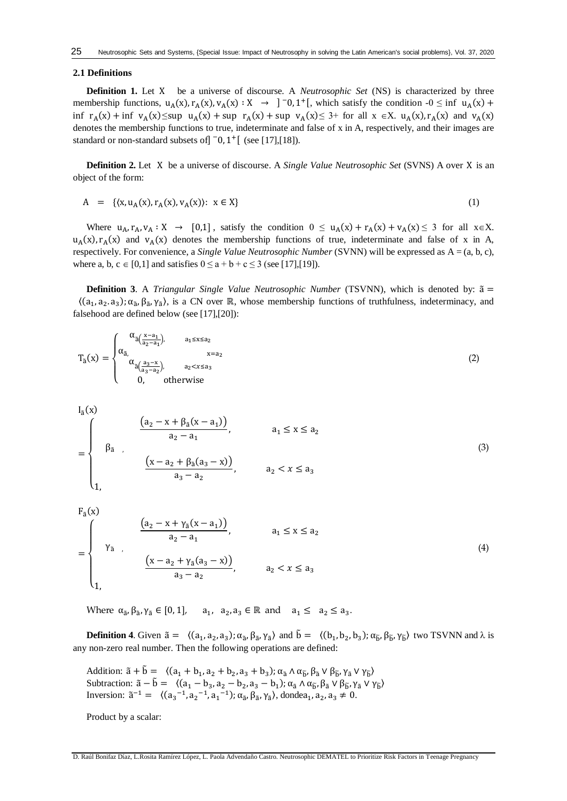#### **2.1 Definitions**

**Definition 1.** Let X be a universe of discourse. A *Neutrosophic Set* (NS) is characterized by three membership functions,  $u_A(x), r_A(x), v_A(x) : X \rightarrow ]^-0, 1^+[$ , which satisfy the condition  $-0 \le \inf u_A(x) +$ inf  $r_A(x)$  + inf  $v_A(x) \leq \sup u_A(x)$  + sup  $r_A(x)$  + sup  $v_A(x) \leq 3$ + for all  $x \in X$ .  $u_A(x)$ ,  $r_A(x)$  and  $v_A(x)$ denotes the membership functions to true, indeterminate and false of x in A, respectively, and their images are standard or non-standard subsets of  $\bar{0}$ ,  $\bar{1}$  +  $[$  (see [\[17\]](#page-6-4), [\[18\]](#page-6-5)).

**Definition 2.** Let X be a universe of discourse. A *Single Value Neutrosophic Set* (SVNS) A over X is an object of the form:

$$
A = \{ (x, u_A(x), r_A(x), v_A(x)) : x \in X \}
$$
 (1)

Where  $u_A$ ,  $r_A$ ,  $v_A : X \to [0,1]$ , satisfy the condition  $0 \le u_A(x) + r_A(x) + v_A(x) \le 3$  for all  $x \in X$ .  $u_A(x), r_A(x)$  and  $v_A(x)$  denotes the membership functions of true, indeterminate and false of x in A, respectively. For convenience, a *Single Value Neutrosophic Number* (SVNN) will be expressed as A = (a, b, c), where a, b, c  $\in$  [0,1] and satisfies  $0 \le a + b + c \le 3$  (see [\[17\]](#page-6-4),[\[19\]](#page-6-6)).

**Definition 3**. A *Triangular Single Value Neutrosophic Number* (TSVNN), which is denoted by: ã =  $((a_1, a_2, a_3); \alpha_{\tilde{a}}, \beta_{\tilde{a}}, \gamma_{\tilde{a}})$ , is a CN over ℝ, whose membership functions of truthfulness, indeterminacy, and falsehood are defined below (see [\[17\]](#page-6-4),[\[20\]](#page-6-7)):

$$
T_{\tilde{a}}(x) = \begin{cases} \alpha_{\tilde{a}(\frac{x-a_1}{a_2-a_1})}, & a_1 \le x \le a_2\\ \alpha_{\tilde{a}}(\frac{a_3-x}{a_3-a_2}), & x = a_2\\ 0, & \text{otherwise} \end{cases}
$$
(2)

$$
I_{\tilde{a}}(x)
$$
\n
$$
= \begin{cases}\n\beta_{\tilde{a}} & \frac{(a_2 - x + \beta_{\tilde{a}}(x - a_1))}{a_2 - a_1}, & a_1 \le x \le a_2 \\
\beta_{\tilde{a}} & \frac{(x - a_2 + \beta_{\tilde{a}}(a_3 - x))}{a_3 - a_2}, & a_2 < x \le a_3\n\end{cases}
$$
\n(3)

$$
F_{\tilde{a}}(x)
$$
\n
$$
= \begin{cases}\n\gamma_{\tilde{a}} & \frac{(a_2 - x + \gamma_{\tilde{a}}(x - a_1))}{a_2 - a_1}, & a_1 \le x \le a_2 \\
\gamma_{\tilde{a}} & \frac{(x - a_2 + \gamma_{\tilde{a}}(a_3 - x))}{a_3 - a_2}, & a_2 < x \le a_3\n\end{cases}
$$
\n(4)

Where  $\alpha_{\tilde{a}}, \beta_{\tilde{a}}, \gamma_{\tilde{a}} \in [0,1], \quad a_1, a_2, a_3 \in \mathbb{R}$  and  $a_1 \leq a_2 \leq a_3$ .

**Definition 4**. Given  $\tilde{a} = \langle (a_1, a_2, a_3); \alpha_{\tilde{a}}, \beta_{\tilde{a}}, \gamma_{\tilde{a}} \rangle$  and  $\tilde{b} = \langle (b_1, b_2, b_3); \alpha_{\tilde{b}}, \beta_{\tilde{b}}, \gamma_{\tilde{b}} \rangle$  two TSVNN and  $\lambda$  is any non-zero real number. Then the following operations are defined:

Addition:  $\tilde{a} + \tilde{b} = \langle (a_1 + b_1, a_2 + b_2, a_3 + b_3) ; \alpha_{\tilde{a}} \wedge \alpha_{\tilde{b}}, \beta_{\tilde{a}} \vee \beta_{\tilde{b}}, \gamma_{\tilde{a}} \vee \gamma_{\tilde{b}} \rangle$ Subtraction:  $\tilde{a} - \tilde{b} = \langle (a_1 - b_3, a_2 - b_2, a_3 - b_1) ; \alpha_{\tilde{a}} \wedge \alpha_{\tilde{b}}, \beta_{\tilde{a}} \vee \beta_{\tilde{b}}, \gamma_{\tilde{a}} \vee \gamma_{\tilde{b}} \rangle$ Inversion:  $\tilde{a}^{-1} = \langle (a_3^{-1}, a_2^{-1}, a_1^{-1}); \alpha_{\tilde{a}}, \beta_{\tilde{a}}, \gamma_{\tilde{a}} \rangle$ , donde $a_1, a_2, a_3 \neq 0$ .

Product by a scalar: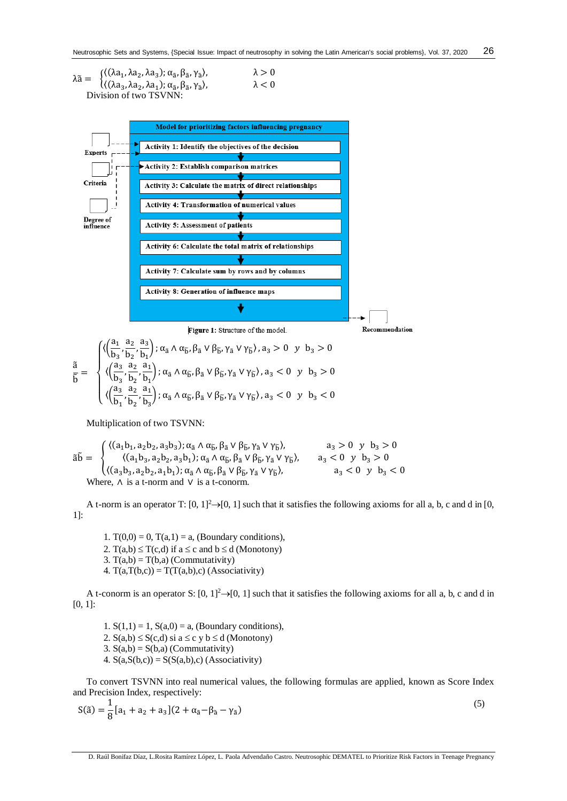$$
\lambda \tilde{a} = \begin{cases}\n\langle (\lambda a_1, \lambda a_2, \lambda a_3); \alpha_{\tilde{a}}, \beta_{\tilde{a}}, \gamma_{\tilde{a}} \rangle, & \lambda > 0 \\
\langle (\lambda a_3, \lambda a_2, \lambda a_1); \alpha_{\tilde{a}}, \beta_{\tilde{a}}, \gamma_{\tilde{a}} \rangle, & \lambda < 0\n\end{cases}
$$
\nDivision of two TSVNN:



$$
\frac{\tilde{a}}{\tilde{b}} = \begin{cases} \langle\!\left(\frac{a_1}{b_3}, \frac{a_2}{b_2}, \frac{a_3}{b_1}\right); \alpha_{\tilde{a}} \wedge \alpha_{\tilde{b}}, \beta_{\tilde{a}} \vee \beta_{\tilde{b}}, \gamma_{\tilde{a}} \vee \gamma_{\tilde{b}}\rangle, a_3 > 0 \hspace{1ex} y \hspace{1ex} b_3 > 0 \\ \langle\!\left(\frac{a_3}{b_3}, \frac{a_2}{b_2}, \frac{a_1}{b_1}\right); \alpha_{\tilde{a}} \wedge \alpha_{\tilde{b}}, \beta_{\tilde{a}} \vee \beta_{\tilde{b}}, \gamma_{\tilde{a}} \vee \gamma_{\tilde{b}}\rangle, a_3 < 0 \hspace{1ex} y \hspace{1ex} b_3 > 0 \\ \langle\!\left(\frac{a_3}{b_1}, \frac{a_2}{b_2}, \frac{a_1}{b_3}\right); \alpha_{\tilde{a}} \wedge \alpha_{\tilde{b}}, \beta_{\tilde{a}} \vee \beta_{\tilde{b}}, \gamma_{\tilde{a}} \vee \gamma_{\tilde{b}}\rangle, a_3 < 0 \hspace{1ex} y \hspace{1ex} b_3 < 0 \end{cases}
$$

Multiplication of two TSVNN:

$$
\tilde{a}\tilde{b} = \begin{cases} \langle (a_1b_1, a_2b_2, a_3b_3); \alpha_{\tilde{a}} \wedge \alpha_{\tilde{b}}, \beta_{\tilde{a}} \vee \beta_{\tilde{b}}, \gamma_{\tilde{a}} \vee \gamma_{\tilde{b}} \rangle, & a_3 > 0 \ y & b_3 > 0 \\ \langle (a_1b_3, a_2b_2, a_3b_1); \alpha_{\tilde{a}} \wedge \alpha_{\tilde{b}}, \beta_{\tilde{a}} \vee \beta_{\tilde{b}}, \gamma_{\tilde{a}} \vee \gamma_{\tilde{b}} \rangle, & a_3 < 0 \ y & b_3 > 0 \\ \langle (a_3b_3, a_2b_2, a_1b_1); \alpha_{\tilde{a}} \wedge \alpha_{\tilde{b}}, \beta_{\tilde{a}} \vee \beta_{\tilde{b}}, \gamma_{\tilde{a}} \vee \gamma_{\tilde{b}} \rangle, & a_3 < 0 \ y & b_3 < 0 \\ \text{Where, } \wedge \text{ is a t-norm and } \vee \text{ is a t-conorm.} \end{cases}
$$

A t-norm is an operator T:  $[0, 1]^2 \rightarrow [0, 1]$  such that it satisfies the following axioms for all a, b, c and d in  $[0, 1]^2$ 1]:

1.  $T(0,0) = 0$ ,  $T(a,1) = a$ , (Boundary conditions), 2. T(a,b)  $\leq$  T(c,d) if a  $\leq$  c and b  $\leq$  d (Monotony)

3.  $T(a,b) = T(b,a)$  (Commutativity)

4.  $T(a,T(b,c)) = T(T(a,b),c)$  (Associativity)

A t-conorm is an operator S:  $[0, 1]^2 \rightarrow [0, 1]$  such that it satisfies the following axioms for all a, b, c and d in [0, 1]:

1.  $S(1,1) = 1$ ,  $S(a,0) = a$ , (Boundary conditions), 2.  $S(a,b) \leq S(c,d)$  si  $a \leq c$  y  $b \leq d$  (Monotony) 3.  $S(a,b) = S(b,a)$  (Commutativity) 4.  $S(a, S(b, c)) = S(S(a, b), c)$  (Associativity)

To convert TSVNN into real numerical values, the following formulas are applied, known as Score Index and Precision Index, respectively:

$$
S(\tilde{a}) = \frac{1}{8} [a_1 + a_2 + a_3] (2 + \alpha_{\tilde{a}} - \beta_{\tilde{a}} - \gamma_{\tilde{a}})
$$
\n(5)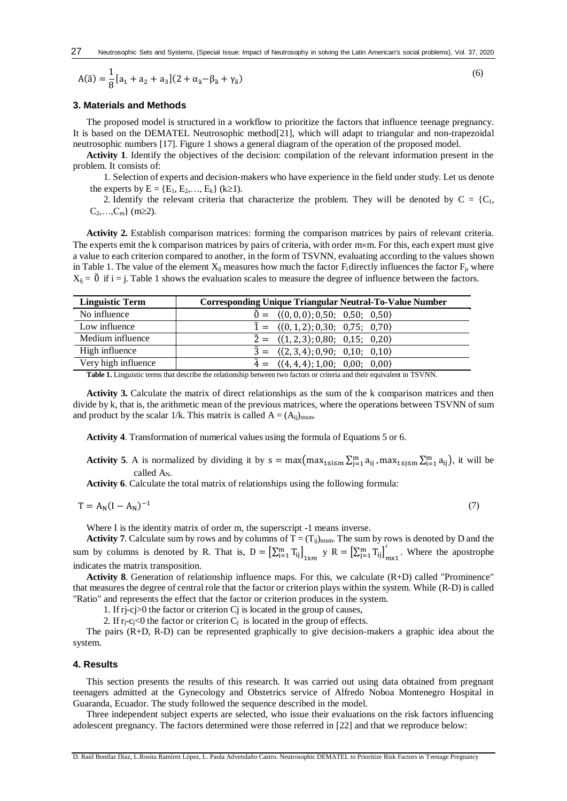$$
A(\tilde{a}) = \frac{1}{8} [a_1 + a_2 + a_3] (2 + \alpha_{\tilde{a}} - \beta_{\tilde{a}} + \gamma_{\tilde{a}})
$$

#### **3. Materials and Methods**

The proposed model is structured in a workflow to prioritize the factors that influence teenage pregnancy. It is based on the DEMATEL Neutrosophic method[\[21\]](#page-6-8), which will adapt to triangular and non-trapezoidal neutrosophic numbers [\[17\]](#page-6-4). Figure 1 shows a general diagram of the operation of the proposed model.

**Activity 1**. Identify the objectives of the decision: compilation of the relevant information present in the problem. It consists of:

1. Selection of experts and decision-makers who have experience in the field under study. Let us denote the experts by  $E = \{E_1, E_2, ..., E_k\}$  (k≥1).

2. Identify the relevant criteria that characterize the problem. They will be denoted by  $C = \{C_1,$  $C_2,...,C_m\}$  (m $\geq$ 2).

**Activity 2.** Establish comparison matrices: forming the comparison matrices by pairs of relevant criteria. The experts emit the k comparison matrices by pairs of criteria, with order  $m \times m$ . For this, each expert must give a value to each criterion compared to another, in the form of TSVNN, evaluating according to the values shown in Table 1. The value of the element  $X_{ii}$  measures how much the factor  $F_i$  directly influences the factor  $F_i$ , where  $X_{ii} = \tilde{0}$  if i = j. Table 1 shows the evaluation scales to measure the degree of influence between the factors.

| <b>Linguistic Term</b> | <b>Corresponding Unique Triangular Neutral-To-Value Number</b> |
|------------------------|----------------------------------------------------------------|
| No influence           | $\tilde{0} = \langle (0,0,0); 0,50; 0,50; 0,50 \rangle$        |
| Low influence          | $\tilde{1} = \langle (0,1,2); 0,30; 0,75; 0,70 \rangle$        |
| Medium influence       | $\tilde{2} = \langle (1,2,3); 0,80; 0,15; 0,20 \rangle$        |
| High influence         | $\tilde{3} = \langle (2,3,4); 0,90; 0,10; 0,10 \rangle$        |
| Very high influence    | $\tilde{4} = \langle (4,4,4); 1,00; 0,00; 0,00 \rangle$        |

**Table 1.** Linguistic terms that describe the relationship between two factors or criteria and their equivalent in TSVNN.

**Activity 3.** Calculate the matrix of direct relationships as the sum of the k comparison matrices and then divide by k, that is, the arithmetic mean of the previous matrices, where the operations between TSVNN of sum and product by the scalar 1/k. This matrix is called  $A = (A_{ij})_{m \times m}$ .

**Activity 4**. Transformation of numerical values using the formula of Equations 5 or 6.

**Activity 5**. A is normalized by dividing it by  $s = max(max_{1 \le i \le m} \sum_{j=1}^{m} a_{ij}$ ,  $max_{1 \le j \le m} \sum_{i=1}^{m} a_{ij}$ , it will be called A<sub>N</sub>.

**Activity 6**. Calculate the total matrix of relationships using the following formula:

$$
T = A_N (I - A_N)^{-1}
$$

Where I is the identity matrix of order m, the superscript -1 means inverse.

**Activity 7**. Calculate sum by rows and by columns of  $T = (T_{ij})_{m \text{x}m}$ . The sum by rows is denoted by D and the sum by columns is denoted by R. That is,  $D = \left[\sum_{i=1}^{m} T_{ij}\right]_{1 \times m}$   $y \in R = \left[\sum_{j=1}^{m} T_{ij}\right]_{m \times 1}$ ′ . Where the apostrophe indicates the matrix transposition.

**Activity 8**. Generation of relationship influence maps. For this, we calculate (R+D) called "Prominence" that measures the degree of central role that the factor or criterion plays within the system. While (R-D) is called "Ratio" and represents the effect that the factor or criterion produces in the system.

1. If rj-cj>0 the factor or criterion Cj is located in the group of causes,

2. If  $r_i-c_j<0$  the factor or criterion  $C_i$  is located in the group of effects.

The pairs (R+D, R-D) can be represented graphically to give decision-makers a graphic idea about the system.

#### **4. Results**

This section presents the results of this research. It was carried out using data obtained from pregnant teenagers admitted at the Gynecology and Obstetrics service of Alfredo Noboa Montenegro Hospital in Guaranda, Ecuador. The study followed the sequence described in the model.

Three independent subject experts are selected, who issue their evaluations on the risk factors influencing adolescent pregnancy. The factors determined were those referred in [\[22\]](#page-6-9) and that we reproduce below:

(7)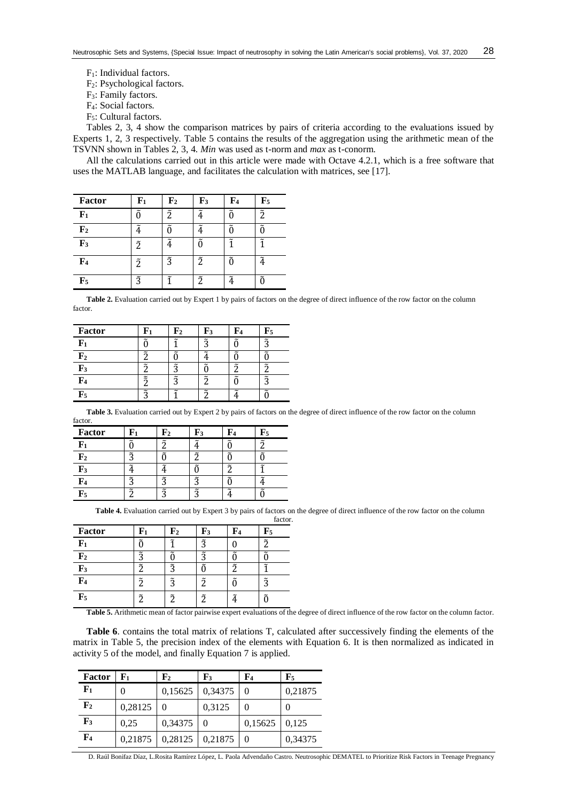- $F_1$ : Individual factors.
- F2: Psychological factors.
- F3: Family factors.
- F4: Social factors.
- F5: Cultural factors.

Tables 2, 3, 4 show the comparison matrices by pairs of criteria according to the evaluations issued by Experts 1, 2, 3 respectively. Table 5 contains the results of the aggregation using the arithmetic mean of the TSVNN shown in Tables 2, 3, 4. *Min* was used as t-norm and *max* as t-conorm.

All the calculations carried out in this article were made with Octave 4.2.1, which is a free software that uses the MATLAB language, and facilitates the calculation with matrices, see [\[17\]](#page-6-4).

| <b>Factor</b>  | ${\bf F_1}$ | $\mathbf{F}_2$ | ${\bf F_3}$ | $\mathbf{F}_4$ | $\mathbf{F}_5$ |
|----------------|-------------|----------------|-------------|----------------|----------------|
| F <sub>1</sub> | ñ           | $\tilde{2}$    | ĩ           |                | $\tilde{2}$    |
| $\mathbf{F}_2$ |             |                |             |                |                |
| $\mathbf{F}_3$ | $\tilde{2}$ | $\tilde{4}$    | ñ           |                |                |
| $\mathbf{F}_4$ | $\tilde{2}$ | $\tilde{3}$    | $\tilde{2}$ | ñ              |                |
| $\mathbf{F}_5$ | $\tilde{3}$ | ĩ              | $\tilde{2}$ |                |                |

Table 2. Evaluation carried out by Expert 1 by pairs of factors on the degree of direct influence of the row factor on the column factor.

| Factor         |                       | F2                    | F3                    | $\mathbf{r}$ | $\mathbf{F}_5$        |
|----------------|-----------------------|-----------------------|-----------------------|--------------|-----------------------|
| ${\bf F_1}$    | $\tilde{\phantom{a}}$ | $\tilde{\phantom{0}}$ | $\tilde{\mathcal{L}}$ | ∼            | $\tilde{\mathbf{a}}$  |
| ${\bf F_2}$    |                       |                       | ~                     |              |                       |
| $\mathbf{F}_3$ | $\tilde{\phantom{a}}$ | $\tilde{ }$           |                       | ~            | ~                     |
| F4             | $\tilde{z}$           | $\tilde{z}$           | ~                     |              | $\tilde{\phantom{a}}$ |
| ${\bf F}_5$    | ~                     | ∼                     | $\tilde{\phantom{a}}$ | ~            | $\tilde{\phantom{a}}$ |

**Table 3.** Evaluation carried out by Expert 2 by pairs of factors on the degree of direct influence of the row factor on the column factor.

| Factor         |             | r 2       | F3                    | ľ4                    | F5                    |
|----------------|-------------|-----------|-----------------------|-----------------------|-----------------------|
| ${\bf F_1}$    |             |           |                       | $\tilde{\phantom{0}}$ | $\approx$             |
| ${\bf F_2}$    | $\tilde{ }$ |           | $\tilde{\phantom{a}}$ | $\tilde{\phantom{a}}$ | ~                     |
| $\mathbf{F}_3$ | ~           |           | $\tilde{\phantom{0}}$ | $\tilde{\phantom{a}}$ | $\tilde{\phantom{a}}$ |
| ${\bf F}_4$    | ≈           |           | $\tilde{\phantom{a}}$ |                       | ~                     |
| ${\bf F}_5$    | $\tilde{z}$ | $\approx$ | ี                     |                       |                       |

**Table 4.** Evaluation carried out by Expert 3 by pairs of factors on the degree of direct influence of the row factor on the column

|                |             |             |                |                       | factor.     |
|----------------|-------------|-------------|----------------|-----------------------|-------------|
| Factor         | ${\bf F_1}$ | ${\bf F_2}$ | $\mathbf{F}_3$ | F4                    | ${\bf F}_5$ |
| ${\bf F_1}$    |             |             | $\tilde{2}$    |                       | ำ           |
| $\mathbf{F}_2$ | $\tilde{3}$ |             | õ              |                       |             |
| $\mathbf{F}_3$ | ี           | ã           |                | $\tilde{\mathcal{L}}$ |             |
| $\mathbf{F}_4$ | ŋ           | $\tilde{3}$ | ñ              |                       | ã           |
| ${\bf F}_5$    | ิล          |             | ์กี            |                       |             |

**Table 5.** Arithmetic mean of factor pairwise expert evaluations of the degree of direct influence of the row factor on the column factor.

**Table 6**. contains the total matrix of relations T, calculated after successively finding the elements of the matrix in Table 5, the precision index of the elements with Equation 6. It is then normalized as indicated in activity 5 of the model, and finally Equation 7 is applied.

| <b>Factor</b>  | ${\bf F_1}$ | ${\bf F_2}$ | ${\bf F_3}$ | F4      | $\mathbf{F}_5$ |
|----------------|-------------|-------------|-------------|---------|----------------|
| ${\bf F}_1$    | 0           | 0,15625     | 0,34375     |         | 0,21875        |
| $\mathbf{F}_2$ | 0,28125     |             | 0,3125      |         |                |
| $\mathbf{F}_3$ | 0.25        | 0,34375     |             | 0,15625 | 0.125          |
| $\mathbf{F}_4$ | 0,21875     | 0,28125     | 0,21875     |         | 0,34375        |

D. Raúl Bonifaz Díaz, L.Rosita Ramírez López, L. Paola Advendaño Castro. Neutrosophic DEMATEL to Prioritize Risk Factors in Teenage Pregnancy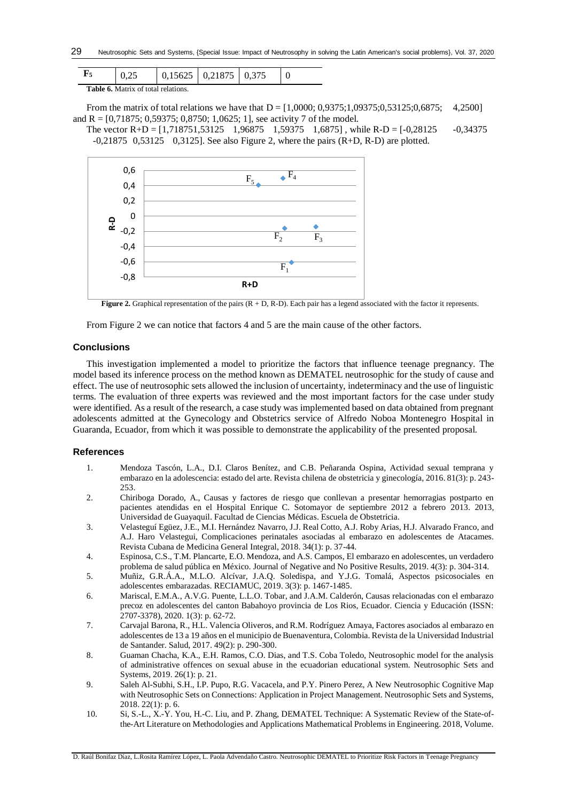|                                            |  |  | $0,15625$ 0,21875 0,375 |  |  |  |  |  |
|--------------------------------------------|--|--|-------------------------|--|--|--|--|--|
| <b>Table 6.</b> Matrix of total relations. |  |  |                         |  |  |  |  |  |

From the matrix of total relations we have that  $D = [1,0000; 0,9375; 1,09375; 0,53125; 0,6875; 4,2500]$ and R =  $[0,71875; 0,59375; 0,8750; 1,0625; 1]$ , see activity 7 of the model.

The vector  $R+D = [1,718751,53125 \quad 1,96875 \quad 1,59375 \quad 1,6875]$ , while  $R-D = [-0,28125 \quad -0,34375 \quad 1,6875]$  $-0,21875$  0,53125 0,3125]. See also Figure 2, where the pairs  $(R+D, R-D)$  are plotted.



**Figure 2.** Graphical representation of the pairs (R + D, R-D). Each pair has a legend associated with the factor it represents.

From Figure 2 we can notice that factors 4 and 5 are the main cause of the other factors.

#### **Conclusions**

This investigation implemented a model to prioritize the factors that influence teenage pregnancy. The model based its inference process on the method known as DEMATEL neutrosophic for the study of cause and effect. The use of neutrosophic sets allowed the inclusion of uncertainty, indeterminacy and the use of linguistic terms. The evaluation of three experts was reviewed and the most important factors for the case under study were identified. As a result of the research, a case study was implemented based on data obtained from pregnant adolescents admitted at the Gynecology and Obstetrics service of Alfredo Noboa Montenegro Hospital in Guaranda, Ecuador, from which it was possible to demonstrate the applicability of the presented proposal.

## **References**

- <span id="page-5-0"></span>1. Mendoza Tascón, L.A., D.I. Claros Benítez, and C.B. Peñaranda Ospina, Actividad sexual temprana y embarazo en la adolescencia: estado del arte. Revista chilena de obstetricia y ginecología, 2016. 81(3): p. 243- 253.
- <span id="page-5-1"></span>2. Chiriboga Dorado, A., Causas y factores de riesgo que conllevan a presentar hemorragias postparto en pacientes atendidas en el Hospital Enrique C. Sotomayor de septiembre 2012 a febrero 2013. 2013, Universidad de Guayaquil. Facultad de Ciencias Médicas. Escuela de Obstetricia.
- <span id="page-5-2"></span>3. Velasteguí Egüez, J.E., M.I. Hernández Navarro, J.J. Real Cotto, A.J. Roby Arias, H.J. Alvarado Franco, and A.J. Haro Velastegui, Complicaciones perinatales asociadas al embarazo en adolescentes de Atacames. Revista Cubana de Medicina General Integral, 2018. 34(1): p. 37-44.
- <span id="page-5-3"></span>4. Espinosa, C.S., T.M. Plancarte, E.O. Mendoza, and A.S. Campos, El embarazo en adolescentes, un verdadero problema de salud pública en México. Journal of Negative and No Positive Results, 2019. 4(3): p. 304-314.
- <span id="page-5-4"></span>5. Muñiz, G.R.Á.A., M.L.O. Alcívar, J.A.Q. Soledispa, and Y.J.G. Tomalá, Aspectos psicosociales en adolescentes embarazadas. RECIAMUC, 2019. 3(3): p. 1467-1485.
- <span id="page-5-5"></span>6. Mariscal, E.M.A., A.V.G. Puente, L.L.O. Tobar, and J.A.M. Calderón, Causas relacionadas con el embarazo precoz en adolescentes del canton Babahoyo provincia de Los Rios, Ecuador. Ciencia y Educación (ISSN: 2707-3378), 2020. 1(3): p. 62-72.
- <span id="page-5-6"></span>7. Carvajal Barona, R., H.L. Valencia Oliveros, and R.M. Rodríguez Amaya, Factores asociados al embarazo en adolescentes de 13 a 19 años en el municipio de Buenaventura, Colombia. Revista de la Universidad Industrial de Santander. Salud, 2017. 49(2): p. 290-300.
- <span id="page-5-7"></span>8. Guaman Chacha, K.A., E.H. Ramos, C.O. Dias, and T.S. Coba Toledo, Neutrosophic model for the analysis of administrative offences on sexual abuse in the ecuadorian educational system. Neutrosophic Sets and Systems, 2019. 26(1): p. 21.
- <span id="page-5-8"></span>9. Saleh Al-Subhi, S.H., I.P. Pupo, R.G. Vacacela, and P.Y. Pinero Perez, A New Neutrosophic Cognitive Map with Neutrosophic Sets on Connections: Application in Project Management. Neutrosophic Sets and Systems, 2018. 22(1): p. 6.
- <span id="page-5-9"></span>10. Si, S.-L., X.-Y. You, H.-C. Liu, and P. Zhang, DEMATEL Technique: A Systematic Review of the State-ofthe-Art Literature on Methodologies and Applications Mathematical Problems in Engineering. 2018, Volume.

D. Raúl Bonifaz Díaz, L.Rosita Ramírez López, L. Paola Advendaño Castro. Neutrosophic DEMATEL to Prioritize Risk Factors in Teenage Pregnancy